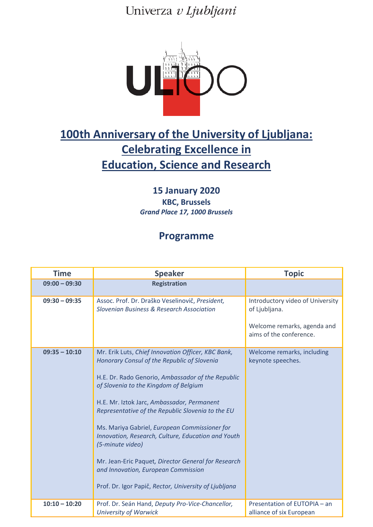Univerza v Ljubljani



## **100th Anniversary of the University of Ljubljana: Celebrating Excellence in Education, Science and Research**

**15 January 2020 KBC, Brussels** *Grand Place 17, 1000 Brussels*

## **Programme**

| <b>Time</b>     | <b>Speaker</b>                                                                                                                                                                                                                                                                                                                                                                                                                                                                                                                                                                       | <b>Topic</b>                                                                                                |
|-----------------|--------------------------------------------------------------------------------------------------------------------------------------------------------------------------------------------------------------------------------------------------------------------------------------------------------------------------------------------------------------------------------------------------------------------------------------------------------------------------------------------------------------------------------------------------------------------------------------|-------------------------------------------------------------------------------------------------------------|
| $09:00 - 09:30$ | <b>Registration</b>                                                                                                                                                                                                                                                                                                                                                                                                                                                                                                                                                                  |                                                                                                             |
| $09:30 - 09:35$ | Assoc. Prof. Dr. Draško Veselinovič, President,<br><b>Slovenian Business &amp; Research Association</b>                                                                                                                                                                                                                                                                                                                                                                                                                                                                              | Introductory video of University<br>of Ljubljana.<br>Welcome remarks, agenda and<br>aims of the conference. |
| $09:35 - 10:10$ | Mr. Erik Luts, Chief Innovation Officer, KBC Bank,<br>Honorary Consul of the Republic of Slovenia<br>H.E. Dr. Rado Genorio, Ambassador of the Republic<br>of Slovenia to the Kingdom of Belgium<br>H.E. Mr. Iztok Jarc, Ambassador, Permanent<br>Representative of the Republic Slovenia to the EU<br>Ms. Mariya Gabriel, European Commissioner for<br>Innovation, Research, Culture, Education and Youth<br>(5-minute video)<br>Mr. Jean-Eric Paquet, Director General for Research<br>and Innovation, European Commission<br>Prof. Dr. Igor Papič, Rector, University of Ljubljana | Welcome remarks, including<br>keynote speeches.                                                             |
| $10:10 - 10:20$ | Prof. Dr. Seán Hand, Deputy Pro-Vice-Chancellor,<br><b>University of Warwick</b>                                                                                                                                                                                                                                                                                                                                                                                                                                                                                                     | Presentation of EUTOPIA - an<br>alliance of six European                                                    |